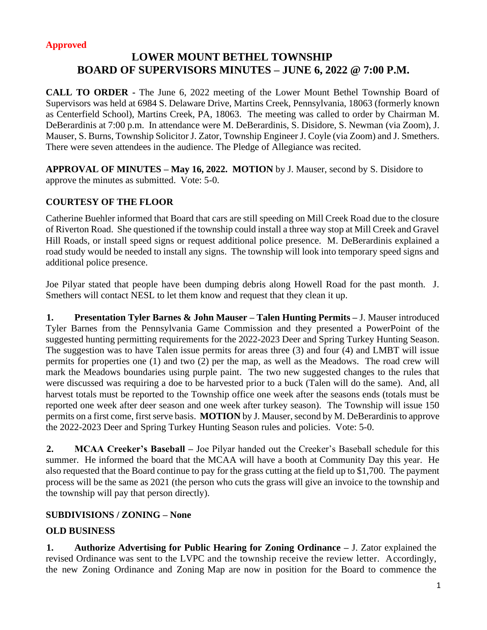#### **Approved**

# **LOWER MOUNT BETHEL TOWNSHIP BOARD OF SUPERVISORS MINUTES – JUNE 6, 2022 @ 7:00 P.M.**

**CALL TO ORDER -** The June 6, 2022 meeting of the Lower Mount Bethel Township Board of Supervisors was held at 6984 S. Delaware Drive, Martins Creek, Pennsylvania, 18063 (formerly known as Centerfield School), Martins Creek, PA, 18063. The meeting was called to order by Chairman M. DeBerardinis at 7:00 p.m. In attendance were M. DeBerardinis, S. Disidore, S. Newman (via Zoom), J. Mauser, S. Burns, Township Solicitor J. Zator, Township Engineer J. Coyle (via Zoom) and J. Smethers. There were seven attendees in the audience. The Pledge of Allegiance was recited.

**APPROVAL OF MINUTES – May 16, 2022. MOTION** by J. Mauser, second by S. Disidore to approve the minutes as submitted. Vote: 5-0.

### **COURTESY OF THE FLOOR**

Catherine Buehler informed that Board that cars are still speeding on Mill Creek Road due to the closure of Riverton Road. She questioned if the township could install a three way stop at Mill Creek and Gravel Hill Roads, or install speed signs or request additional police presence. M. DeBerardinis explained a road study would be needed to install any signs. The township will look into temporary speed signs and additional police presence.

Joe Pilyar stated that people have been dumping debris along Howell Road for the past month. J. Smethers will contact NESL to let them know and request that they clean it up.

**1. Presentation Tyler Barnes & John Mauser – Talen Hunting Permits –** J. Mauser introduced Tyler Barnes from the Pennsylvania Game Commission and they presented a PowerPoint of the suggested hunting permitting requirements for the 2022-2023 Deer and Spring Turkey Hunting Season. The suggestion was to have Talen issue permits for areas three (3) and four (4) and LMBT will issue permits for properties one (1) and two (2) per the map, as well as the Meadows. The road crew will mark the Meadows boundaries using purple paint. The two new suggested changes to the rules that were discussed was requiring a doe to be harvested prior to a buck (Talen will do the same). And, all harvest totals must be reported to the Township office one week after the seasons ends (totals must be reported one week after deer season and one week after turkey season). The Township will issue 150 permits on a first come, first serve basis. **MOTION** by J. Mauser, second by M. DeBerardinis to approve the 2022-2023 Deer and Spring Turkey Hunting Season rules and policies. Vote: 5-0.

**2. MCAA Creeker's Baseball –** Joe Pilyar handed out the Creeker's Baseball schedule for this summer. He informed the board that the MCAA will have a booth at Community Day this year. He also requested that the Board continue to pay for the grass cutting at the field up to \$1,700. The payment process will be the same as 2021 (the person who cuts the grass will give an invoice to the township and the township will pay that person directly).

#### **SUBDIVISIONS / ZONING – None**

#### **OLD BUSINESS**

**1. Authorize Advertising for Public Hearing for Zoning Ordinance –** J. Zator explained the revised Ordinance was sent to the LVPC and the township receive the review letter. Accordingly, the new Zoning Ordinance and Zoning Map are now in position for the Board to commence the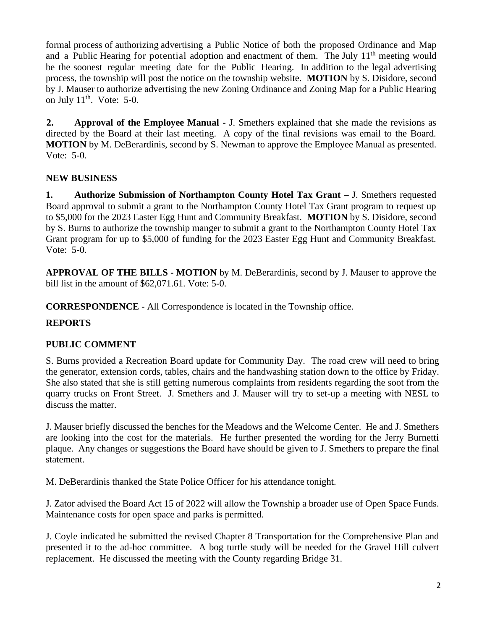formal process of authorizing advertising a Public Notice of both the proposed Ordinance and Map and a Public Hearing for potential adoption and enactment of them. The July  $11<sup>th</sup>$  meeting would be the soonest regular meeting date for the Public Hearing. In addition to the legal advertising process, the township will post the notice on the township website. **MOTION** by S. Disidore, second by J. Mauser to authorize advertising the new Zoning Ordinance and Zoning Map for a Public Hearing on July  $11<sup>th</sup>$ . Vote: 5-0.

**2. Approval of the Employee Manual -** J. Smethers explained that she made the revisions as directed by the Board at their last meeting. A copy of the final revisions was email to the Board. **MOTION** by M. DeBerardinis, second by S. Newman to approve the Employee Manual as presented. Vote: 5-0.

## **NEW BUSINESS**

**1. Authorize Submission of Northampton County Hotel Tax Grant –** J. Smethers requested Board approval to submit a grant to the Northampton County Hotel Tax Grant program to request up to \$5,000 for the 2023 Easter Egg Hunt and Community Breakfast. **MOTION** by S. Disidore, second by S. Burns to authorize the township manger to submit a grant to the Northampton County Hotel Tax Grant program for up to \$5,000 of funding for the 2023 Easter Egg Hunt and Community Breakfast. Vote: 5-0.

**APPROVAL OF THE BILLS - MOTION** by M. DeBerardinis, second by J. Mauser to approve the bill list in the amount of \$62,071.61. Vote: 5-0.

**CORRESPONDENCE** - All Correspondence is located in the Township office.

## **REPORTS**

## **PUBLIC COMMENT**

S. Burns provided a Recreation Board update for Community Day. The road crew will need to bring the generator, extension cords, tables, chairs and the handwashing station down to the office by Friday. She also stated that she is still getting numerous complaints from residents regarding the soot from the quarry trucks on Front Street. J. Smethers and J. Mauser will try to set-up a meeting with NESL to discuss the matter.

J. Mauser briefly discussed the benches for the Meadows and the Welcome Center. He and J. Smethers are looking into the cost for the materials. He further presented the wording for the Jerry Burnetti plaque. Any changes or suggestions the Board have should be given to J. Smethers to prepare the final statement.

M. DeBerardinis thanked the State Police Officer for his attendance tonight.

J. Zator advised the Board Act 15 of 2022 will allow the Township a broader use of Open Space Funds. Maintenance costs for open space and parks is permitted.

J. Coyle indicated he submitted the revised Chapter 8 Transportation for the Comprehensive Plan and presented it to the ad-hoc committee. A bog turtle study will be needed for the Gravel Hill culvert replacement. He discussed the meeting with the County regarding Bridge 31.